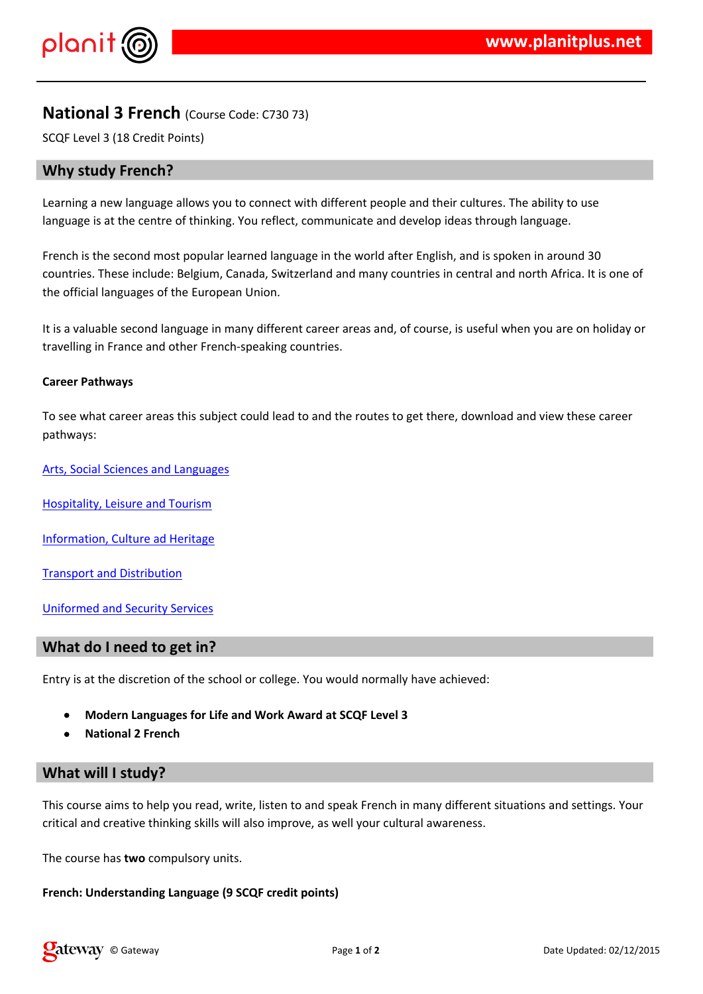## $\frac{1}{2}$   $\frac{1}{2}$   $\frac{1}{2}$   $\frac{1}{2}$   $\frac{1}{2}$   $\frac{1}{2}$   $\frac{1}{2}$   $\frac{1}{2}$   $\frac{1}{2}$   $\frac{1}{2}$   $\frac{1}{2}$   $\frac{1}{2}$   $\frac{1}{2}$   $\frac{1}{2}$   $\frac{1}{2}$   $\frac{1}{2}$   $\frac{1}{2}$   $\frac{1}{2}$   $\frac{1}{2}$   $\frac{1}{2}$   $\frac{1}{2}$   $\frac{1}{2}$

 $1$  & % & # & # #  $8$  & % (% & # & (% ' #\* (  $+$  % # % 

8.'(% ( / '8 ## 8.# 8 (% 8. # 08. # % ( . 8., \$% 8. 8.  $'$  & % )  $\sqrt[4]{6}$  &  $'$  # 1 # & % / % 2 # & & & ' & % & ' & # & % 4' ) %'% # # & 0 & % &)  $\left($ 

4 % " # + # # & / % & % & '  $8.77$   $\frac{1}{2}$   $\frac{1}{2}$   $\frac{1}{2}$   $\frac{1}{2}$   $\frac{1}{2}$   $\frac{1}{2}$   $\frac{1}{2}$   $\frac{1}{2}$   $\frac{1}{2}$   $\frac{1}{2}$   $\frac{1}{2}$   $\frac{1}{2}$   $\frac{1}{2}$   $\frac{1}{2}$   $\frac{1}{2}$   $\frac{1}{2}$   $\frac{1}{2}$   $\frac{1}{2}$   $\frac{1}{2}$   $\frac{1}{2}$   $\frac{1}{2}$   $\frac{$ " # # % & % & & & '& & 5 (, % & ' & % )

- $" \%$  (  $\sqrt{2}$
- $3 \t3$   $\t96\%$ # &  $\t9$   $\t\frac{1}{2}$  &
- $7\frac{96}{1000}$  # % . ! % % / &
- 4 & / % & # 7 %
- \* &  $\frac{8}{10}$  % + % &
- 8. % / 8 %  $\frac{1}{2}$  %  $\frac{1}{2}$

0 & % ( % '' ( %# & # # ( ) # & / # # ( " ' ( % "

#### $\frac{1}{2}$   $\frac{1}{2}$   $\frac{1}{2}$   $\frac{1}{2}$   $\frac{1}{2}$   $\frac{1}{2}$   $\frac{1}{2}$   $\frac{1}{2}$   $\frac{1}{2}$   $\frac{1}{2}$   $\frac{1}{2}$   $\frac{1}{2}$   $\frac{1}{2}$   $\frac{1}{2}$   $\frac{1}{2}$   $\frac{1}{2}$   $\frac{1}{2}$   $\frac{1}{2}$   $\frac{1}{2}$   $\frac{1}{2}$   $\frac{1}{2}$   $\frac{1}{2}$

\* (% ' %# .%#% & , & % & & %&%&% '%%'# & '%,"%#<####&%%& ". ## '# & )

\*( ' ( ' / #  $8\%$  )

 $\frac{1}{2}$  (  $\frac{1}{2}$  # % $\&$  $\overline{\phantom{a}}$